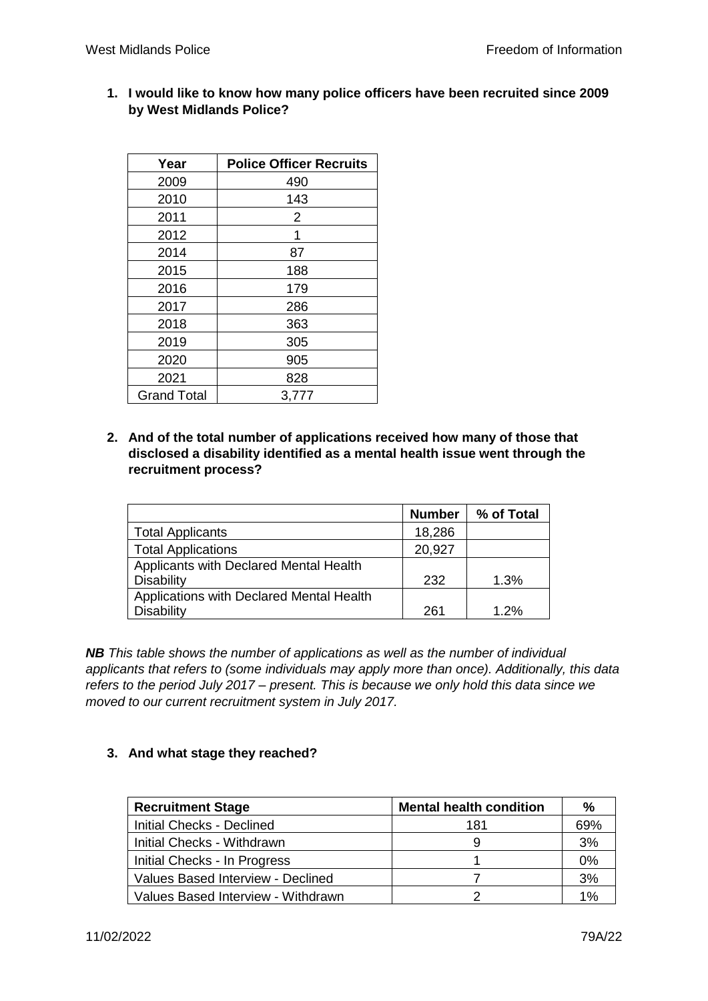**1. I would like to know how many police officers have been recruited since 2009 by West Midlands Police?**

| Year               | <b>Police Officer Recruits</b> |
|--------------------|--------------------------------|
| 2009               | 490                            |
| 2010               | 143                            |
| 2011               | 2                              |
| 2012               | 1                              |
| 2014               | 87                             |
| 2015               | 188                            |
| 2016               | 179                            |
| 2017               | 286                            |
| 2018               | 363                            |
| 2019               | 305                            |
| 2020               | 905                            |
| 2021               | 828                            |
| <b>Grand Total</b> | 3,777                          |

**2. And of the total number of applications received how many of those that disclosed a disability identified as a mental health issue went through the recruitment process?**

|                                          | <b>Number</b> | % of Total |
|------------------------------------------|---------------|------------|
| <b>Total Applicants</b>                  | 18,286        |            |
| <b>Total Applications</b>                | 20,927        |            |
| Applicants with Declared Mental Health   |               |            |
| <b>Disability</b>                        | 232           | 1.3%       |
| Applications with Declared Mental Health |               |            |
| <b>Disability</b>                        | 261           | 1.2%       |

*NB This table shows the number of applications as well as the number of individual applicants that refers to (some individuals may apply more than once). Additionally, this data refers to the period July 2017 – present. This is because we only hold this data since we moved to our current recruitment system in July 2017.*

## **3. And what stage they reached?**

| <b>Recruitment Stage</b>           | <b>Mental health condition</b> | %     |
|------------------------------------|--------------------------------|-------|
| <b>Initial Checks - Declined</b>   | 181                            | 69%   |
| Initial Checks - Withdrawn         |                                | 3%    |
| Initial Checks - In Progress       |                                | $0\%$ |
| Values Based Interview - Declined  |                                | 3%    |
| Values Based Interview - Withdrawn |                                | 1%    |